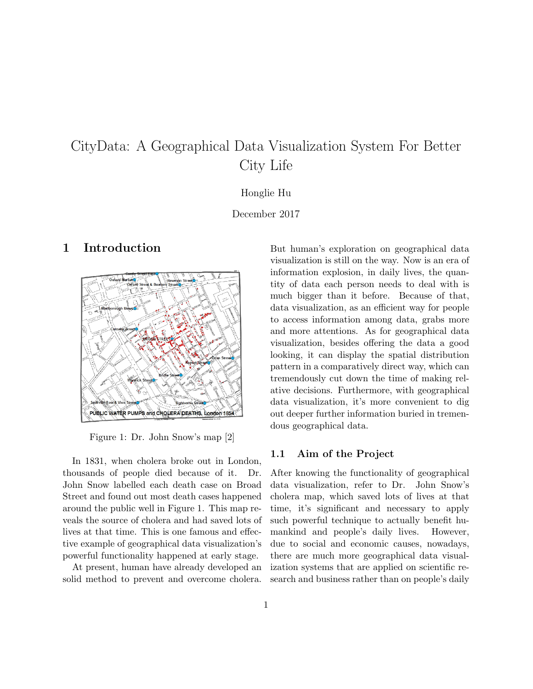# CityData: A Geographical Data Visualization System For Better City Life

#### Honglie Hu

December 2017

## 1 Introduction



Figure 1: Dr. John Snow's map [2]

In 1831, when cholera broke out in London, thousands of people died because of it. Dr. John Snow labelled each death case on Broad Street and found out most death cases happened around the public well in Figure 1. This map reveals the source of cholera and had saved lots of lives at that time. This is one famous and effective example of geographical data visualization's powerful functionality happened at early stage.

At present, human have already developed an solid method to prevent and overcome cholera. But human's exploration on geographical data visualization is still on the way. Now is an era of information explosion, in daily lives, the quantity of data each person needs to deal with is much bigger than it before. Because of that, data visualization, as an efficient way for people to access information among data, grabs more and more attentions. As for geographical data visualization, besides offering the data a good looking, it can display the spatial distribution pattern in a comparatively direct way, which can tremendously cut down the time of making relative decisions. Furthermore, with geographical data visualization, it's more convenient to dig out deeper further information buried in tremendous geographical data.

#### 1.1 Aim of the Project

After knowing the functionality of geographical data visualization, refer to Dr. John Snow's cholera map, which saved lots of lives at that time, it's significant and necessary to apply such powerful technique to actually benefit humankind and people's daily lives. However, due to social and economic causes, nowadays, there are much more geographical data visualization systems that are applied on scientific research and business rather than on people's daily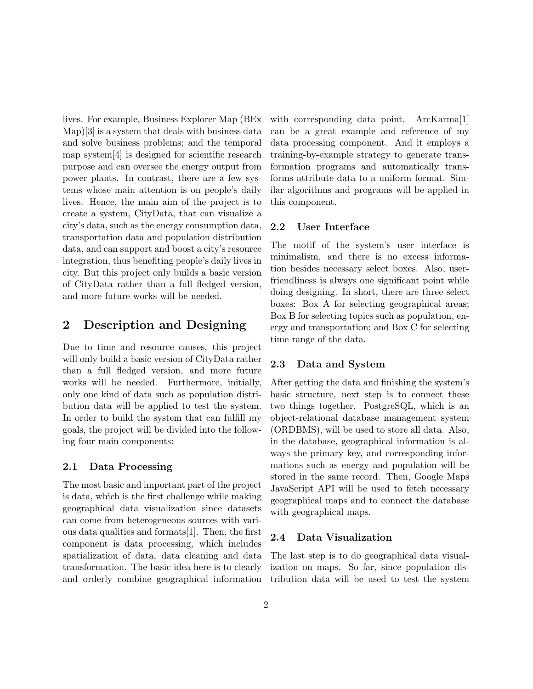lives. For example, Business Explorer Map (BEx Map)[3] is a system that deals with business data and solve business problems; and the temporal map system[4] is designed for scientific research purpose and can oversee the energy output from power plants. In contrast, there are a few systems whose main attention is on people's daily lives. Hence, the main aim of the project is to create a system, CityData, that can visualize a city's data, such as the energy consumption data, transportation data and population distribution data, and can support and boost a city's resource integration, thus benefiting people's daily lives in city. But this project only builds a basic version of CityData rather than a full fledged version, and more future works will be needed.

## 2 Description and Designing

Due to time and resource causes, this project will only build a basic version of CityData rather than a full fledged version, and more future works will be needed. Furthermore, initially, only one kind of data such as population distribution data will be applied to test the system. In order to build the system that can fulfill my goals, the project will be divided into the following four main components:

#### 2.1 Data Processing

The most basic and important part of the project is data, which is the first challenge while making geographical data visualization since datasets can come from heterogeneous sources with various data qualities and formats[1]. Then, the first component is data processing, which includes spatialization of data, data cleaning and data transformation. The basic idea here is to clearly and orderly combine geographical information with corresponding data point. ArcKarma[1] can be a great example and reference of my data processing component. And it employs a training-by-example strategy to generate transformation programs and automatically transforms attribute data to a uniform format. Similar algorithms and programs will be applied in this component.

#### 2.2 User Interface

The motif of the system's user interface is minimalism, and there is no excess information besides necessary select boxes. Also, userfriendliness is always one significant point while doing designing. In short, there are three select boxes: Box A for selecting geographical areas; Box B for selecting topics such as population, energy and transportation; and Box C for selecting time range of the data.

## 2.3 Data and System

After getting the data and finishing the system's basic structure, next step is to connect these two things together. PostgreSQL, which is an object-relational database management system (ORDBMS), will be used to store all data. Also, in the database, geographical information is always the primary key, and corresponding informations such as energy and population will be stored in the same record. Then, Google Maps JavaScript API will be used to fetch necessary geographical maps and to connect the database with geographical maps.

### 2.4 Data Visualization

The last step is to do geographical data visualization on maps. So far, since population distribution data will be used to test the system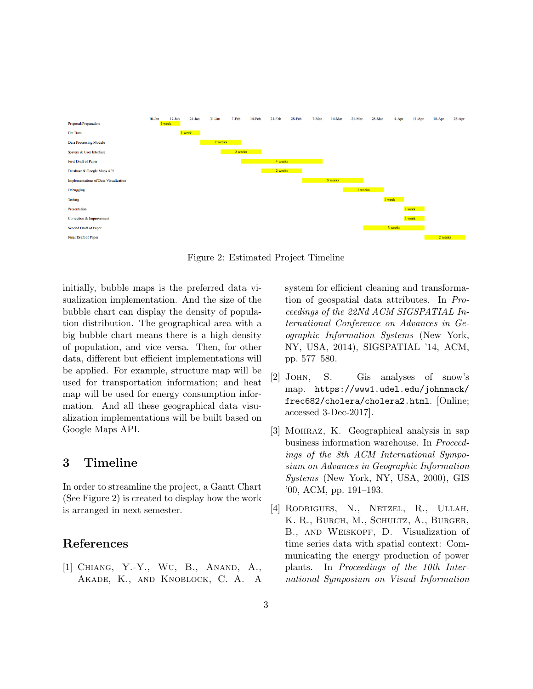

Figure 2: Estimated Project Timeline

initially, bubble maps is the preferred data visualization implementation. And the size of the bubble chart can display the density of population distribution. The geographical area with a big bubble chart means there is a high density of population, and vice versa. Then, for other data, different but efficient implementations will be applied. For example, structure map will be used for transportation information; and heat map will be used for energy consumption information. And all these geographical data visualization implementations will be built based on Google Maps API.

## 3 Timeline

In order to streamline the project, a Gantt Chart (See Figure 2) is created to display how the work is arranged in next semester.

# References

[1] Chiang, Y.-Y., Wu, B., Anand, A., Akade, K., and Knoblock, C. A. A system for efficient cleaning and transformation of geospatial data attributes. In Proceedings of the 22Nd ACM SIGSPATIAL International Conference on Advances in Geographic Information Systems (New York, NY, USA, 2014), SIGSPATIAL '14, ACM, pp. 577–580.

- [2] John, S. Gis analyses of snow's map. https://www1.udel.edu/johnmack/ frec682/cholera/cholera2.html. [Online; accessed 3-Dec-2017].
- [3] Mohraz, K. Geographical analysis in sap business information warehouse. In Proceedings of the 8th ACM International Symposium on Advances in Geographic Information Systems (New York, NY, USA, 2000), GIS '00, ACM, pp. 191–193.
- [4] Rodrigues, N., Netzel, R., Ullah, K. R., Burch, M., Schultz, A., Burger, B., and Weiskopf, D. Visualization of time series data with spatial context: Communicating the energy production of power plants. In Proceedings of the 10th International Symposium on Visual Information